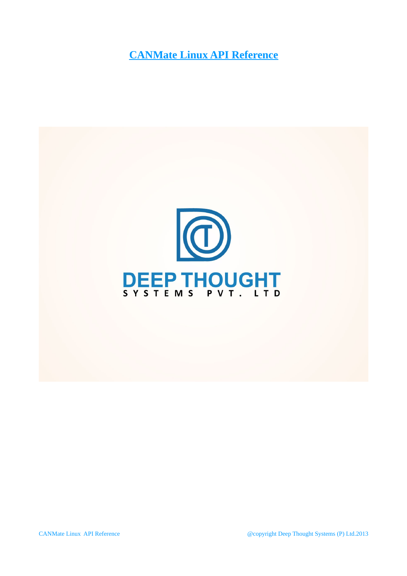**CANMate Linux API Reference**

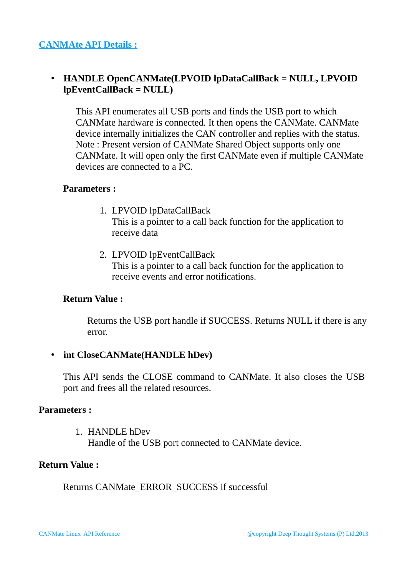# • **HANDLE OpenCANMate(LPVOID lpDataCallBack = NULL, LPVOID lpEventCallBack = NULL)**

This API enumerates all USB ports and finds the USB port to which CANMate hardware is connected. It then opens the CANMate. CANMate device internally initializes the CAN controller and replies with the status. Note : Present version of CANMate Shared Object supports only one CANMate. It will open only the first CANMate even if multiple CANMate devices are connected to a PC.

#### **Parameters :**

- 1. LPVOID lpDataCallBack This is a pointer to a call back function for the application to receive data
- 2. LPVOID lpEventCallBack This is a pointer to a call back function for the application to receive events and error notifications.

## **Return Value :**

Returns the USB port handle if SUCCESS. Returns NULL if there is any error.

## • **int CloseCANMate(HANDLE hDev)**

This API sends the CLOSE command to CANMate. It also closes the USB port and frees all the related resources.

#### **Parameters :**

1. HANDLE hDev Handle of the USB port connected to CANMate device.

### **Return Value :**

Returns CANMate\_ERROR\_SUCCESS if successful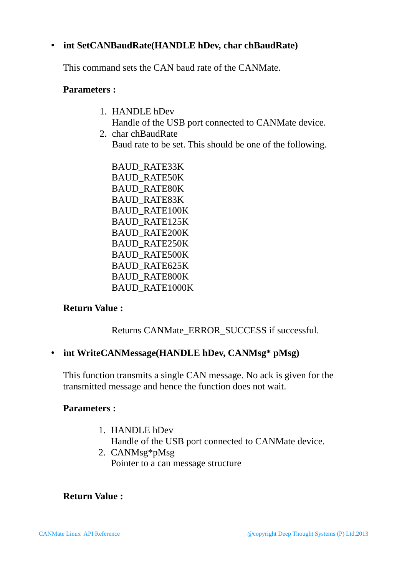## • **int SetCANBaudRate(HANDLE hDev, char chBaudRate)**

This command sets the CAN baud rate of the CANMate.

#### **Parameters :**

- 1. HANDLE hDev Handle of the USB port connected to CANMate device.
- 2. char chBaudRate Baud rate to be set. This should be one of the following.

BAUD\_RATE33K BAUD\_RATE50K BAUD\_RATE80K BAUD\_RATE83K BAUD\_RATE100K BAUD\_RATE125K BAUD\_RATE200K BAUD\_RATE250K BAUD\_RATE500K BAUD\_RATE625K BAUD\_RATE800K BAUD\_RATE1000K

## **Return Value :**

Returns CANMate\_ERROR\_SUCCESS if successful.

## • **int WriteCANMessage(HANDLE hDev, CANMsg\* pMsg)**

This function transmits a single CAN message. No ack is given for the transmitted message and hence the function does not wait.

## **Parameters :**

- 1. HANDLE hDev Handle of the USB port connected to CANMate device.
- 2. CANMsg\*pMsg Pointer to a can message structure

## **Return Value :**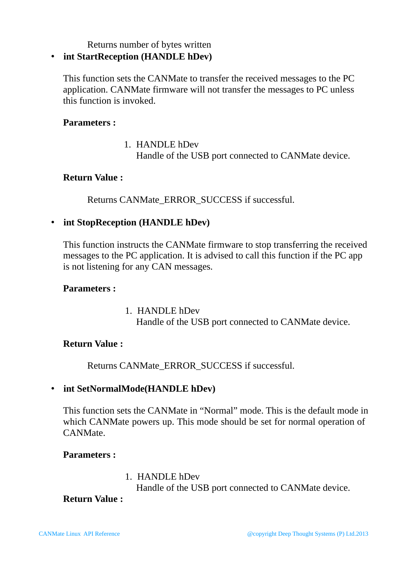Returns number of bytes written

## • **int StartReception (HANDLE hDev)**

This function sets the CANMate to transfer the received messages to the PC application. CANMate firmware will not transfer the messages to PC unless this function is invoked.

### **Parameters :**

1. HANDLE hDev Handle of the USB port connected to CANMate device.

#### **Return Value :**

Returns CANMate\_ERROR\_SUCCESS if successful.

## • **int StopReception (HANDLE hDev)**

This function instructs the CANMate firmware to stop transferring the received messages to the PC application. It is advised to call this function if the PC app is not listening for any CAN messages.

#### **Parameters :**

1. HANDLE hDev Handle of the USB port connected to CANMate device.

## **Return Value :**

Returns CANMate\_ERROR\_SUCCESS if successful.

## • **int SetNormalMode(HANDLE hDev)**

This function sets the CANMate in "Normal" mode. This is the default mode in which CANMate powers up. This mode should be set for normal operation of CANMate.

#### **Parameters :**

1. HANDLE hDev Handle of the USB port connected to CANMate device.

#### **Return Value :**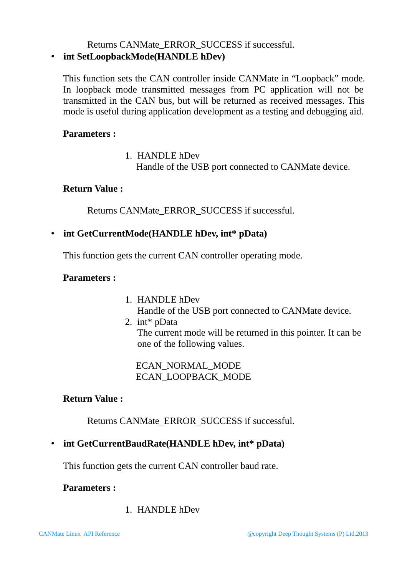# Returns CANMate\_ERROR\_SUCCESS if successful.

# • **int SetLoopbackMode(HANDLE hDev)**

This function sets the CAN controller inside CANMate in "Loopback" mode. In loopback mode transmitted messages from PC application will not be transmitted in the CAN bus, but will be returned as received messages. This mode is useful during application development as a testing and debugging aid.

## **Parameters :**

1. HANDLE hDev Handle of the USB port connected to CANMate device.

## **Return Value :**

Returns CANMate\_ERROR\_SUCCESS if successful.

## • **int GetCurrentMode(HANDLE hDev, int\* pData)**

This function gets the current CAN controller operating mode.

## **Parameters :**

- 1. HANDLE hDev
- Handle of the USB port connected to CANMate device.
- 2. int\* pData The current mode will be returned in this pointer. It can be one of the following values.

ECAN\_NORMAL\_MODE ECAN\_LOOPBACK\_MODE

## **Return Value :**

Returns CANMate\_ERROR\_SUCCESS if successful.

# • **int GetCurrentBaudRate(HANDLE hDev, int\* pData)**

This function gets the current CAN controller baud rate.

## **Parameters :**

1. HANDLE hDev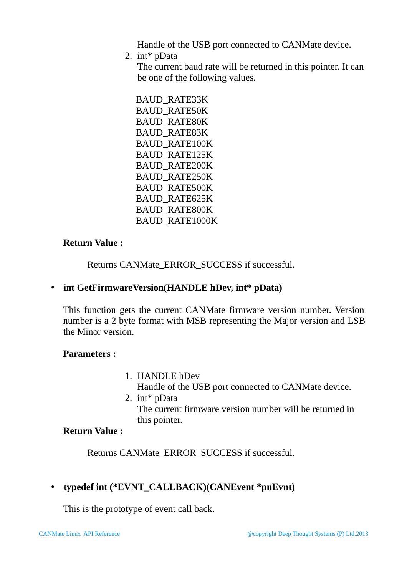Handle of the USB port connected to CANMate device.

2. int\* pData

The current baud rate will be returned in this pointer. It can be one of the following values.

BAUD\_RATE33K BAUD\_RATE50K BAUD\_RATE80K BAUD\_RATE83K BAUD\_RATE100K BAUD\_RATE125K BAUD\_RATE200K BAUD\_RATE250K BAUD\_RATE500K BAUD\_RATE625K BAUD\_RATE800K BAUD\_RATE1000K

# **Return Value :**

Returns CANMate\_ERROR\_SUCCESS if successful.

# • **int GetFirmwareVersion(HANDLE hDev, int\* pData)**

This function gets the current CANMate firmware version number. Version number is a 2 byte format with MSB representing the Major version and LSB the Minor version.

# **Parameters :**

- 1. HANDLE hDev Handle of the USB port connected to CANMate device.
- 2. int\* pData The current firmware version number will be returned in this pointer.

# **Return Value :**

Returns CANMate\_ERROR\_SUCCESS if successful.

# • **typedef int (\*EVNT\_CALLBACK)(CANEvent \*pnEvnt)**

This is the prototype of event call back.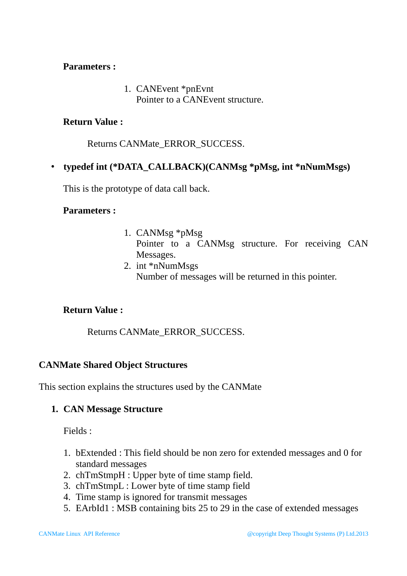#### **Parameters :**

1. CANEvent \*pnEvnt Pointer to a CANEvent structure.

### **Return Value :**

Returns CANMate\_ERROR\_SUCCESS.

## • **typedef int (\*DATA\_CALLBACK)(CANMsg \*pMsg, int \*nNumMsgs)**

This is the prototype of data call back.

#### **Parameters :**

- 1. CANMsg \*pMsg Pointer to a CANMsg structure. For receiving CAN Messages.
- 2. int \*nNumMsgs Number of messages will be returned in this pointer.

## **Return Value :**

Returns CANMate\_ERROR\_SUCCESS.

## **CANMate Shared Object Structures**

This section explains the structures used by the CANMate

#### **1. CAN Message Structure**

Fields :

- 1. bExtended : This field should be non zero for extended messages and 0 for standard messages
- 2. chTmStmpH : Upper byte of time stamp field.
- 3. chTmStmpL : Lower byte of time stamp field
- 4. Time stamp is ignored for transmit messages
- 5. EArbId1 : MSB containing bits 25 to 29 in the case of extended messages